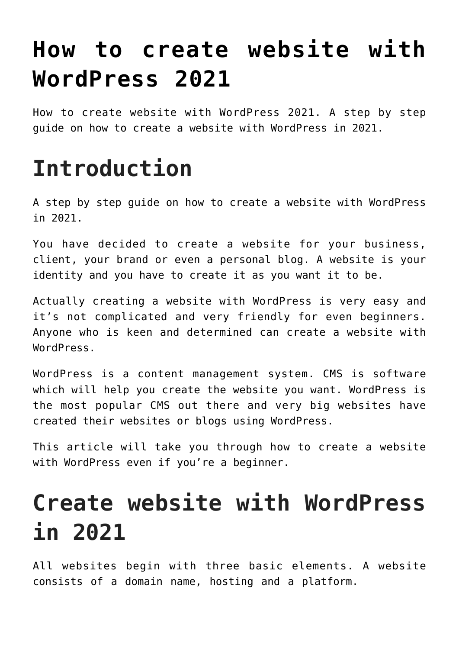# **[How to create website with](https://www.earnmoneyke.com/wordpress/how-to-create-website-with-wordpress-in-2021/) [WordPress 2021](https://www.earnmoneyke.com/wordpress/how-to-create-website-with-wordpress-in-2021/)**

How to create website with WordPress 2021. A step by step guide on how to create a website with WordPress in 2021.

## **Introduction**

A step by step guide on how to create a website with WordPress in 2021.

You have decided to create a website for your business, client, your brand or even a personal blog. A website is your identity and you have to create it as you want it to be.

Actually creating a website with WordPress is very easy and it's not complicated and very friendly for even beginners. Anyone who is keen and determined can create a website with WordPress.

WordPress is a content management system. CMS is software which will help you create the website you want. WordPress is the most popular CMS out there and very big websites have created their websites or blogs using WordPress.

This article will take you through how to create a website with WordPress even if you're a beginner.

# **Create website with WordPress in 2021**

All websites begin with three basic elements. A website consists of a domain name, hosting and a platform.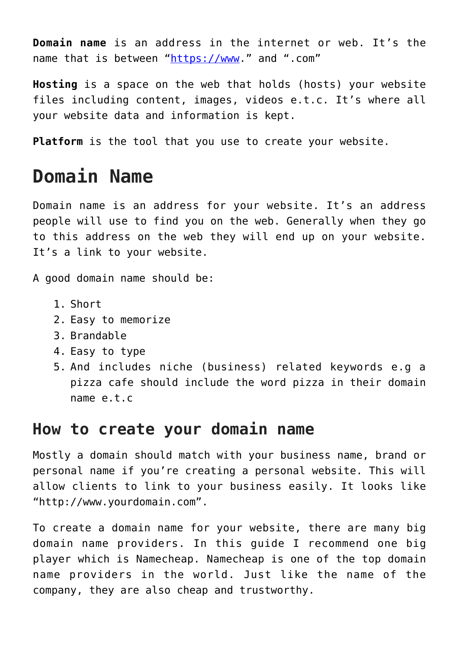**Domain name** is an address in the internet or web. It's the name that is between ["https://www.](#page--1-0)" and ".com"

**Hosting** is a space on the web that holds (hosts) your website files including content, images, videos e.t.c. It's where all your website data and information is kept.

**Platform** is the tool that you use to create your website.

### **Domain Name**

Domain name is an address for your website. It's an address people will use to find you on the web. Generally when they go to this address on the web they will end up on your website. It's a link to your website.

A good domain name should be:

- 1. Short
- 2. Easy to memorize
- 3. Brandable
- 4. Easy to type
- 5. And includes niche (business) related keywords e.g a pizza cafe should include the word pizza in their domain name e.t.c

#### **How to create your domain name**

Mostly a domain should match with your business name, brand or personal name if you're creating a personal website. This will allow clients to link to your business easily. It looks like "http://www.yourdomain.com".

To create a domain name for your website, there are many big domain name providers. In this guide I recommend one big player which is Namecheap. Namecheap is one of the top domain name providers in the world. Just like the name of the company, they are also cheap and trustworthy.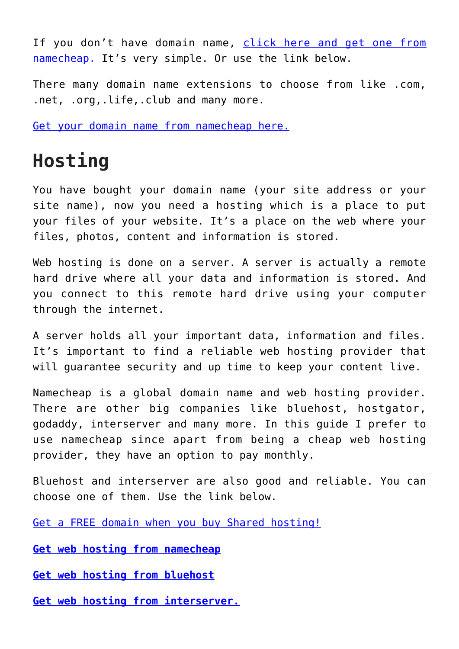If you don't have domain name, [click here and get one from](https://www.anrdoezrs.net/click-100362440-11429042) [namecheap.](https://www.anrdoezrs.net/click-100362440-11429042) It's very simple. Or use the link below.

There many domain name extensions to choose from like .com, .net, .org,.life,.club and many more.

[Get your domain name from namecheap here.](https://www.anrdoezrs.net/click-100362440-11429042)

#### **Hosting**

You have bought your domain name (your site address or your site name), now you need a hosting which is a place to put your files of your website. It's a place on the web where your files, photos, content and information is stored.

Web hosting is done on a server. A server is actually a remote hard drive where all your data and information is stored. And you connect to this remote hard drive using your computer through the internet.

A server holds all your important data, information and files. It's important to find a reliable web hosting provider that will guarantee security and up time to keep your content live.

Namecheap is a global domain name and web hosting provider. There are other big companies like bluehost, hostgator, godaddy, interserver and many more. In this guide I prefer to use namecheap since apart from being a cheap web hosting provider, they have an option to pay monthly.

Bluehost and interserver are also good and reliable. You can choose one of them. Use the link below.

[Get a FREE domain when you buy Shared hosting!](https://www.dpbolvw.net/click-100362440-13925793)

**[Get web hosting from namecheap](https://www.tkqlhce.com/click-100362440-13266673)**

**[Get web hosting from bluehost](https://www.bluehost.com/track/jaldesa/book)**

**[Get web hosting from interserver.](https://www.interserver.net/webhosting?id=713916)**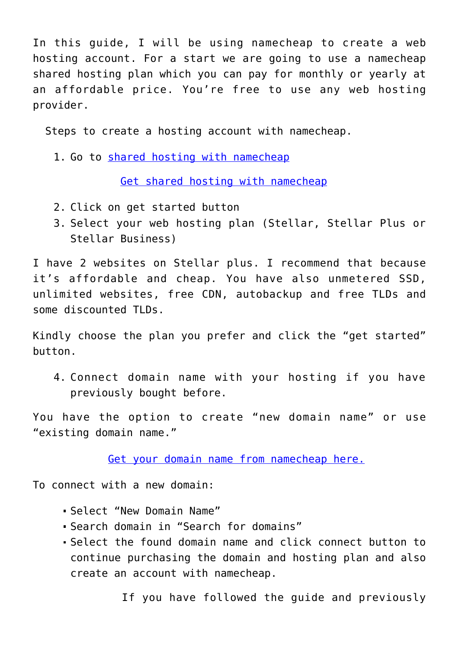In this guide, I will be using namecheap to create a web hosting account. For a start we are going to use a namecheap shared hosting plan which you can pay for monthly or yearly at an affordable price. You're free to use any web hosting provider.

Steps to create a hosting account with namecheap.

1. Go to [shared hosting with namecheap](https://www.tkqlhce.com/click-100362440-13266673)

[Get shared hosting with namecheap](https://www.tkqlhce.com/click-100362440-13266673)

- 2. Click on get started button
- 3. Select your web hosting plan (Stellar, Stellar Plus or Stellar Business)

I have 2 websites on Stellar plus. I recommend that because it's affordable and cheap. You have also unmetered SSD, unlimited websites, free CDN, autobackup and free TLDs and some discounted TLDs.

Kindly choose the plan you prefer and click the "get started" button.

4. Connect domain name with your hosting if you have previously bought before.

You have the option to create "new domain name" or use "existing domain name."

[Get your domain name from namecheap here.](https://www.anrdoezrs.net/click-100362440-11429042)

To connect with a new domain:

- Select "New Domain Name"
- Search domain in "Search for domains"
- Select the found domain name and click connect button to continue purchasing the domain and hosting plan and also create an account with namecheap.

If you have followed the guide and previously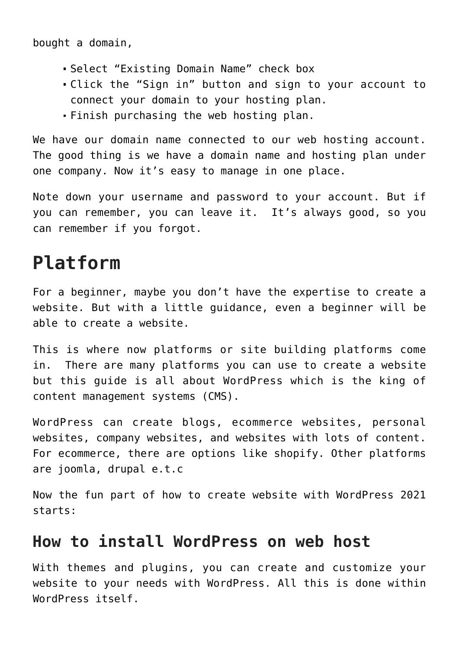bought a domain,

- Select "Existing Domain Name" check box
- Click the "Sign in" button and sign to your account to connect your domain to your hosting plan.
- Finish purchasing the web hosting plan.

We have our domain name connected to our web hosting account. The good thing is we have a domain name and hosting plan under one company. Now it's easy to manage in one place.

Note down your username and password to your account. But if you can remember, you can leave it. It's always good, so you can remember if you forgot.

#### **Platform**

For a beginner, maybe you don't have the expertise to create a website. But with a little guidance, even a beginner will be able to create a website.

This is where now platforms or site building platforms come in. There are many platforms you can use to create a website but this guide is all about WordPress which is the king of content management systems (CMS).

WordPress can create blogs, ecommerce websites, personal websites, company websites, and websites with lots of content. For ecommerce, there are options like shopify. Other platforms are joomla, drupal e.t.c

Now the fun part of how to create website with WordPress 2021 starts:

#### **How to install WordPress on web host**

With themes and plugins, you can create and customize your website to your needs with WordPress. All this is done within WordPress itself.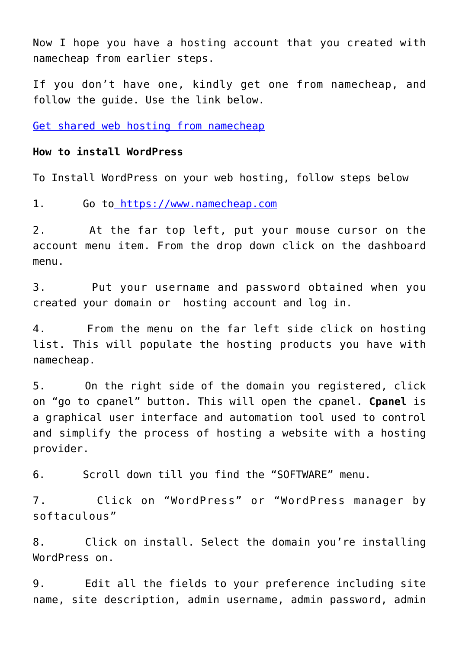Now I hope you have a hosting account that you created with namecheap from earlier steps.

If you don't have one, kindly get one from namecheap, and follow the guide. Use the link below.

[Get shared web hosting from namecheap](https://www.tkqlhce.com/click-100362440-13266673)

#### **How to install WordPress**

To Install WordPress on your web hosting, follow steps below

1. Go t[o https://www.namecheap.com](https://www.namecheap.com/)

2. At the far top left, put your mouse cursor on the account menu item. From the drop down click on the dashboard menu.

3. Put your username and password obtained when you created your domain or hosting account and log in.

4. From the menu on the far left side click on hosting list. This will populate the hosting products you have with namecheap.

5. On the right side of the domain you registered, click on "go to cpanel" button. This will open the cpanel. **Cpanel** is a graphical user interface and automation tool used to control and simplify the process of hosting a website with a hosting provider.

6. Scroll down till you find the "SOFTWARE" menu.

7. Click on "WordPress" or "WordPress manager by softaculous"

8. Click on install. Select the domain you're installing WordPress on.

9. Edit all the fields to your preference including site name, site description, admin username, admin password, admin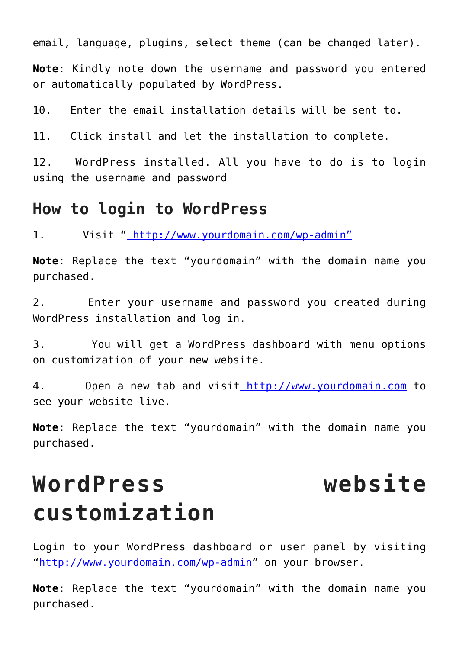email, language, plugins, select theme (can be changed later).

**Note**: Kindly note down the username and password you entered or automatically populated by WordPress.

10. Enter the email installation details will be sent to.

11. Click install and let the installation to complete.

12. WordPress installed. All you have to do is to login using the username and password

#### **How to login to WordPress**

1. Visit [" http://www.yourdomain.com/wp-admin"](http://www.yourdomain.com/wp-admin)

**Note**: Replace the text "yourdomain" with the domain name you purchased.

2. Enter your username and password you created during WordPress installation and log in.

3. You will get a WordPress dashboard with menu options on customization of your new website.

4. Open a new tab and visi[t http://www.yourdomain.com](http://www.yourdomain.com/) to see your website live.

**Note**: Replace the text "yourdomain" with the domain name you purchased.

## **WordPress website customization**

Login to your WordPress dashboard or user panel by visiting "[http://www.yourdomain.com/wp-admin"](http://www.yourdomain.com/wp-admin) on your browser.

**Note**: Replace the text "yourdomain" with the domain name you purchased.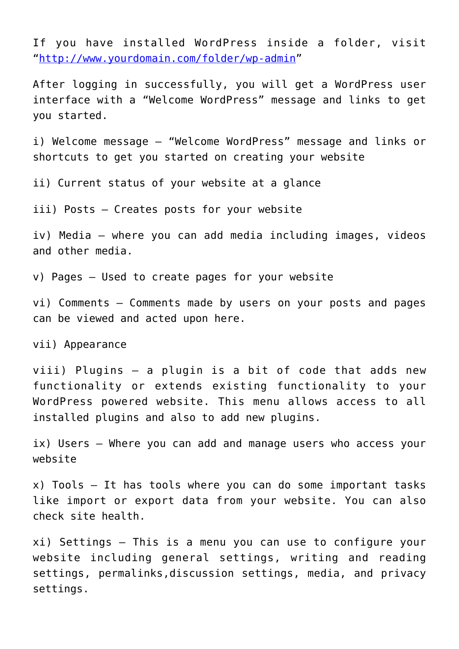If you have installed WordPress inside a folder, visit "[http://www.yourdomain.com/folder/wp-admin"](http://www.yourdomain.com/folder/wp-admin)

After logging in successfully, you will get a WordPress user interface with a "Welcome WordPress" message and links to get you started.

i) Welcome message – "Welcome WordPress" message and links or shortcuts to get you started on creating your website

ii) Current status of your website at a glance

iii) Posts – Creates posts for your website

iv) Media – where you can add media including images, videos and other media.

v) Pages – Used to create pages for your website

vi) Comments – Comments made by users on your posts and pages can be viewed and acted upon here.

vii) Appearance

viii) Plugins – a plugin is a bit of code that adds new functionality or extends existing functionality to your WordPress powered website. This menu allows access to all installed plugins and also to add new plugins.

ix) Users – Where you can add and manage users who access your website

x) Tools – It has tools where you can do some important tasks like import or export data from your website. You can also check site health.

xi) Settings – This is a menu you can use to configure your website including general settings, writing and reading settings, permalinks,discussion settings, media, and privacy settings.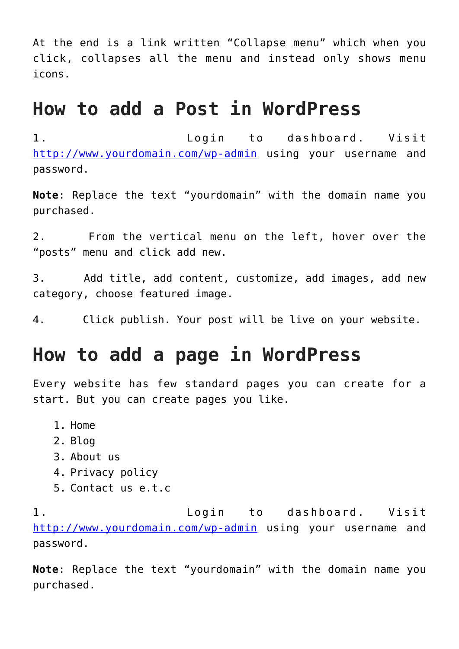At the end is a link written "Collapse menu" which when you click, collapses all the menu and instead only shows menu icons.

#### **How to add a Post in WordPress**

1. Login to dashboard. Visit <http://www.yourdomain.com/wp-admin> using your username and password.

**Note**: Replace the text "yourdomain" with the domain name you purchased.

2. From the vertical menu on the left, hover over the "posts" menu and click add new.

3. Add title, add content, customize, add images, add new category, choose featured image.

4. Click publish. Your post will be live on your website.

#### **How to add a page in WordPress**

Every website has few standard pages you can create for a start. But you can create pages you like.

- 1. Home
- 2. Blog
- 3. About us
- 4. Privacy policy
- 5. Contact us e.t.c

1. Login to dashboard. Visit <http://www.yourdomain.com/wp-admin> using your username and password.

**Note**: Replace the text "yourdomain" with the domain name you purchased.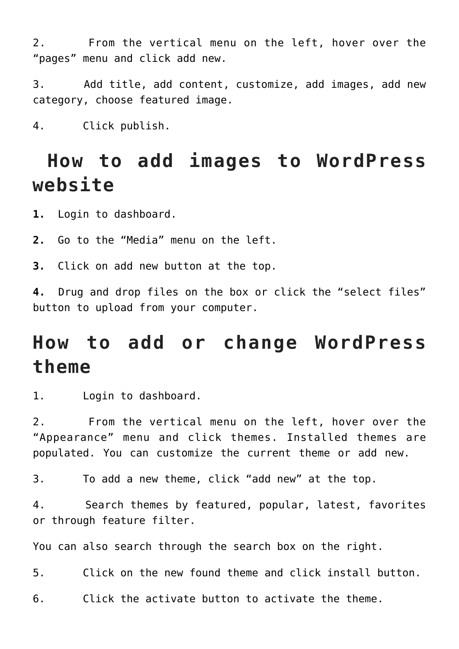2. From the vertical menu on the left, hover over the "pages" menu and click add new.

3. Add title, add content, customize, add images, add new category, choose featured image.

4. Click publish.

#### **How to add images to WordPress website**

**1.** Login to dashboard.

**2.** Go to the "Media" menu on the left.

**3.** Click on add new button at the top.

**4.** Drug and drop files on the box or click the "select files" button to upload from your computer.

#### **How to add or change WordPress theme**

1. Login to dashboard.

2. From the vertical menu on the left, hover over the "Appearance" menu and click themes. Installed themes are populated. You can customize the current theme or add new.

3. To add a new theme, click "add new" at the top.

4. Search themes by featured, popular, latest, favorites or through feature filter.

You can also search through the search box on the right.

5. Click on the new found theme and click install button.

6. Click the activate button to activate the theme.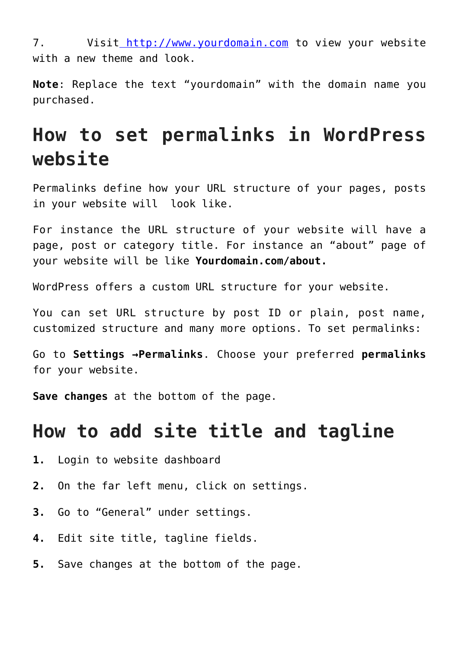7. Visit [http://www.yourdomain.com](http://www.yourdomain.com/) to view your website with a new theme and look.

**Note**: Replace the text "yourdomain" with the domain name you purchased.

### **How to set permalinks in WordPress website**

Permalinks define how your URL structure of your pages, posts in your website will look like.

For instance the URL structure of your website will have a page, post or category title. For instance an "about" page of your website will be like **Yourdomain.com/about.**

WordPress offers a custom URL structure for your website.

You can set URL structure by post ID or plain, post name, customized structure and many more options. To set permalinks:

Go to **Settings →Permalinks**. Choose your preferred **permalinks** for your website.

**Save changes** at the bottom of the page.

#### **How to add site title and tagline**

- **1.** Login to website dashboard
- **2.** On the far left menu, click on settings.
- **3.** Go to "General" under settings.
- **4.** Edit site title, tagline fields.
- **5.** Save changes at the bottom of the page.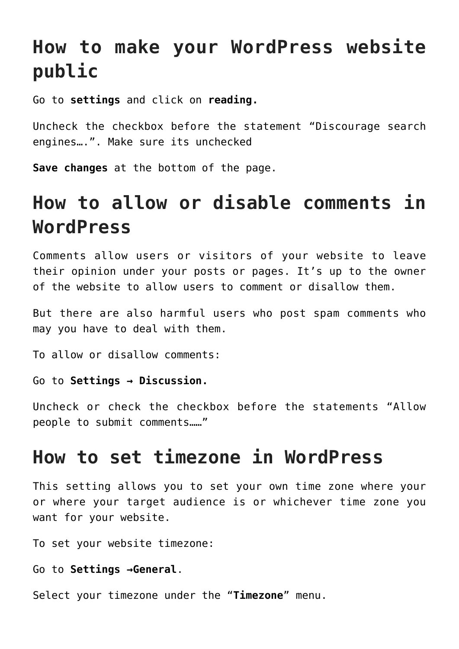### **How to make your WordPress website public**

Go to **settings** and click on **reading.**

Uncheck the checkbox before the statement "Discourage search engines….". Make sure its unchecked

**Save changes** at the bottom of the page.

### **How to allow or disable comments in WordPress**

Comments allow users or visitors of your website to leave their opinion under your posts or pages. It's up to the owner of the website to allow users to comment or disallow them.

But there are also harmful users who post spam comments who may you have to deal with them.

To allow or disallow comments:

Go to **Settings → Discussion.**

Uncheck or check the checkbox before the statements "Allow people to submit comments……"

#### **How to set timezone in WordPress**

This setting allows you to set your own time zone where your or where your target audience is or whichever time zone you want for your website.

To set your website timezone:

Go to **Settings →General**.

Select your timezone under the "**Timezone**" menu.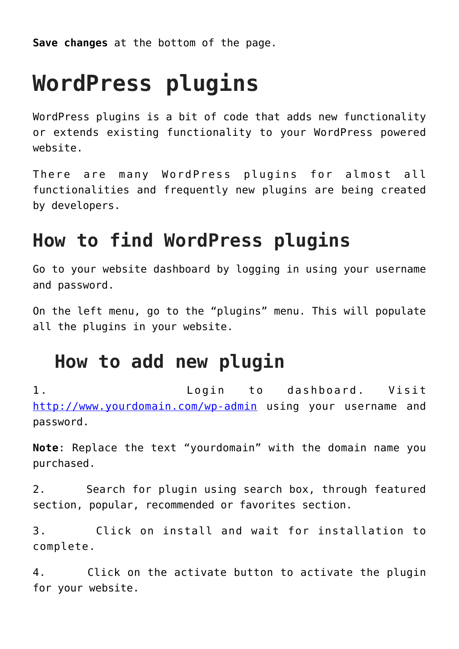**Save changes** at the bottom of the page.

# **WordPress plugins**

WordPress plugins is a bit of code that adds new functionality or extends existing functionality to your WordPress powered website.

There are many WordPress plugins for almost all functionalities and frequently new plugins are being created by developers.

#### **How to find WordPress plugins**

Go to your website dashboard by logging in using your username and password.

On the left menu, go to the "plugins" menu. This will populate all the plugins in your website.

#### **How to add new plugin**

1. Login to dashboard. Visit <http://www.yourdomain.com/wp-admin> using your username and password.

**Note**: Replace the text "yourdomain" with the domain name you purchased.

2. Search for plugin using search box, through featured section, popular, recommended or favorites section.

3. Click on install and wait for installation to complete.

4. Click on the activate button to activate the plugin for your website.